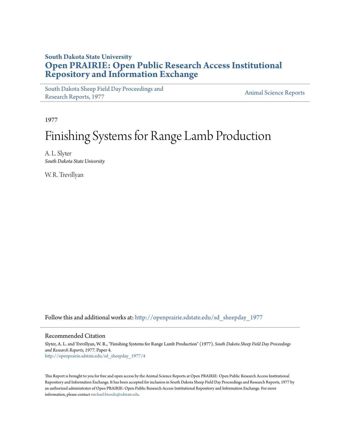## **South Dakota State University [Open PRAIRIE: Open Public Research Access Institutional](http://openprairie.sdstate.edu?utm_source=openprairie.sdstate.edu%2Fsd_sheepday_1977%2F4&utm_medium=PDF&utm_campaign=PDFCoverPages) [Repository and Information Exchange](http://openprairie.sdstate.edu?utm_source=openprairie.sdstate.edu%2Fsd_sheepday_1977%2F4&utm_medium=PDF&utm_campaign=PDFCoverPages)**

[South Dakota Sheep Field Day Proceedings and](http://openprairie.sdstate.edu/sd_sheepday_1977?utm_source=openprairie.sdstate.edu%2Fsd_sheepday_1977%2F4&utm_medium=PDF&utm_campaign=PDFCoverPages) [Research Reports, 1977](http://openprairie.sdstate.edu/sd_sheepday_1977?utm_source=openprairie.sdstate.edu%2Fsd_sheepday_1977%2F4&utm_medium=PDF&utm_campaign=PDFCoverPages)<br>Research Reports, 1977

1977

# Finishing Systems for Range Lamb Production

A. L. Slyter *South Dakota State University*

W. R. Trevillyan

Follow this and additional works at: [http://openprairie.sdstate.edu/sd\\_sheepday\\_1977](http://openprairie.sdstate.edu/sd_sheepday_1977?utm_source=openprairie.sdstate.edu%2Fsd_sheepday_1977%2F4&utm_medium=PDF&utm_campaign=PDFCoverPages)

#### Recommended Citation

Slyter, A. L. and Trevillyan, W. R., "Finishing Systems for Range Lamb Production" (1977). *South Dakota Sheep Field Day Proceedings and Research Reports, 1977.* Paper 4. [http://openprairie.sdstate.edu/sd\\_sheepday\\_1977/4](http://openprairie.sdstate.edu/sd_sheepday_1977/4?utm_source=openprairie.sdstate.edu%2Fsd_sheepday_1977%2F4&utm_medium=PDF&utm_campaign=PDFCoverPages)

This Report is brought to you for free and open access by the Animal Science Reports at Open PRAIRIE: Open Public Research Access Institutional Repository and Information Exchange. It has been accepted for inclusion in South Dakota Sheep Field Day Proceedings and Research Reports, 1977 by an authorized administrator of Open PRAIRIE: Open Public Research Access Institutional Repository and Information Exchange. For more information, please contact [michael.biondo@sdstate.edu](mailto:michael.biondo@sdstate.edu).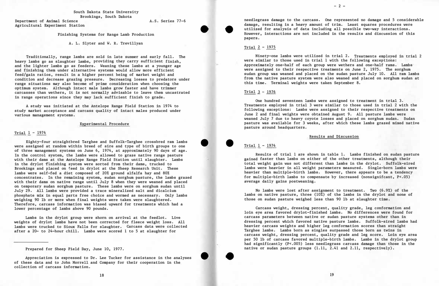South Dakota State University Brookings, South Dakota

Department of Animal Science Agricultural Experiment Station A.S. Series 77-6

Finishing Systems for Range Lamb Production

A. L. Slyter and W. R. Trevillyan

Traditionally, range lambs are sold in late summer and early fall. The heavy lambs go as slaughter lambs, providing they carry sufficient finish, and the lighter lambs go as feeders. Weaning these lambs at a younger age and finishing them under alternative systems would allow more efficient feed/gain ratios, result in a higher percent being of market weight and condition and decrease grazing pressure. Decreasing losses to predators under range situations may also become of prime consideration when choosing the optimum system. Although intact male lambs grow faster and have trimmer carcasses than wethers, it is not normally advisable to leave them uncastrated in range operations since they may lack sufficient finish to grade.

A study was initiated at the Antelope Range Field Station in 1974 to study market acceptance and carcass quality of intact males produced under various management systems.

#### Trial 1 - 1974

Experimental Procedure

Eighty-four straightbred Targhee and Suffolk-Targhee crossbred ram lambs were assigned at random within breed of sire and type of birth groups to one of three management systems on June 6, 1974, at approximately 90 days of age. In the control system, the lambs were allowed to graze native range pasture with their dams at the Antelope Range Field Station until slaughter. Lambs in the drylot finishing system were sorted from their dams, trucked to Brookings and placed on �eed in drylot at the Sheep Research Unit. These lambs were self-fed a diet composed of 20% ground alfalfa hay and 80% concentrates. In the remaining system, sudan sorghum pasture, the lambs grazed with their dams on native range until July 8 when they were weaned and placed on temporary sudan sorghum pasture. These lambs were on sorghum sudan until July 29. All lambs were provided a trace mineralized salt and dicalcium phosphate mix in equal parts free choice and wormed as necessary. Only lambs weighing 90 lb or more when final weights were taken were slaughtered. Therefore, carcass information was biased upward for treatments which had a lower percentage of lambs above 90 pounds.

Lambs in the drylot group were shorn on arrival at the feedlot. Live weights of drylot lambs have not been corrected for fleece weight loss. All lambs were trucked to Sioux Falls for slaughter. carcass data were collected after a 20- to 24-hour chill. Lambs were scored 1 to 5 at slaughter for

Prepared for Sheep Field Day, June 10, 1977.

Appreciation is expressed to Dr. Lee Tucker for assistance in the analyses of these data and to John Morrell and Company for their cooperation in the collection of carcass information.



• •

• •

needlegrass damage to the carcass. One represented no damage and 5 considerable damage, resulting in a heavy amount of trim. Least squares procedures were utilized for analysis of data including all possible two-way interactions. However, interactions are not included in the results and discussion of this papers.

#### Trial  $2 - 1975$

Ninety-one lambs were utilized in trial 2. Treatments employed in trial 2 were similar to those used in trial 1 with the following exceptions: Approximately one-half of each group were wethers and one-half rams. Lambs· were assigned to their respective treatments on June 2, 1975. The sorghum sudan group was weaned and placed on the sudan pasture July 10. All ram lambs from the native pasture system were also weaned and placed on sorghum sudan at this time. Terminal weights were taken September 8.

#### Trial  $3 - 1976$

One hundred seventeen lambs were assigned to treatment in trial 3. Treatments employed in trial 3 were similar to those used in trial 2 with the following exceptions: Lambs were assigned to their respective treatments on June 2 and final weights were obtained August 9. All pasture lambs were weaned July 7 due to heavy coyote losses and placed on sorghum sudan. Sudan pasture was available for 3 weeks, after which these lambs grazed mixed native pasture around headquarters.

Trial 1 - 1974

Results and Discussion

Results of trial 1 are shown in table 1. Lambs finished on sudan pasture gained faster than lambs on either of the other treatments, although their total weight gain was not different than lambs in the drylot. Suffolk-sired lambs were heavier in all weight parameters measured. Single-born lambs were heavier than multiple-birth lambs. However, there appears to be a tendency for multiple-birth lambs to compensate by increased (nonsignifcant, P<.05) average daily gains postweaning.

No lambs were lost after assignment to treatment. Two (6.9%) of the lambs on native pasture, three (10%) of the lambs in the drylot and none of those on sudan pasture weighed less than 90 lb at slaughter time.

Carcass weight, dressing percent, quality grade, leg conformation and loin eye area favored drylot-finished lambs. No differences were found for carcass parameters between native or sudan pasture systems other than in dressing percent which favored native pasture lambs. Suffolk-sired lambs had heavier carcass weights and higher leg conformation scores than straight Targhee lambs. Lambs born as singles surpassed those born as twins in carcass weight, dressing percent, quality grade and leg score. Loin eye area per 50 lb of carcass favored multiple-birth lambs. Lambs in the drylot group had significantly (P<.005) less needlegrass carcass damage than those in the native or sudan pasture groups (1.11, 2.41 and 2.11, respectively).

 $-2 -$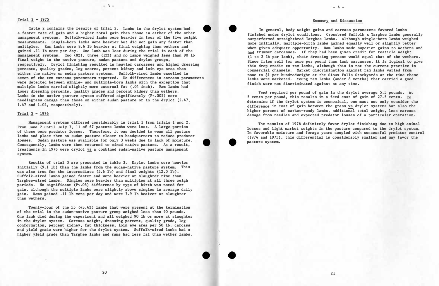#### Trial 2 - 1975

**- 3 -**

Table 2 contains the results of trial 2. Lambs in the drylot system had a faster rate of gain and a higher total gain than those in either of the other management systems. Suffolk-sired lambs were heavier in four of the five weight measurements. Single-born lambs were heavier but did not gain any faster than multiples. Ram lambs were 8.6 lb heavier at final weighing than wethers and gained .11 lb more per day. One lamb was lost during the trial in each of the management systems. Two (8%), three (12%) and no lambs weighed less than 90 lb final weight in the native pasture, sudan pasture and drylot groups, respectively. Drylot finishing resulted in heavier carcasses and higher dressing percents, quality grades, leg scores, percent kidney and loin eye area than either the native or sudan pasture systems. Suffolk-sired lambs excelled in seven of the ten carcass parameters reported. No differences in carcass parameters were detected between single- and multiple-born lambs with the exception that multiple lambs carried slightly more external fat (.04 inch). Ram lambs had lower dressing percents, quality grades and percent kidney than wethers. Lambs in the native pasture system suffered significantly (P<.005) more needlegrass damage than those on either sudan pasture or in the drylot (2.47, 1.47 and 1.02, respectively).

•

Management systems differed considerably in trial 3 from trials 1 and 2. From June 2 until July 7, 11 of 67 pasture lambs were lost. A large portion of these were predator losses. Therefore, it was decided to wean all pasture lambs and place them on sudan pasture closer to headquarters to reduce predator losses. Sudan pasture was available for only 3 weeks due to lack of moisture. Consequently, lambs were then returned to mixed native pasture. As a result, treatments in 1976 were drylot vs a combined sudan-native pasture management system.

Results of trial 3 are presented in table 3. Drylot lambs were heavier initially (9.1 lb) than the lambs from the sudan-native pasture system. This was also true for the intermediate  $(5.6 \text{ lb})$  and final weights  $(12.0 \text{ lb})$ . Suffolk-sired lambs gained faster and were heavier at slaughter time than Targhee-sired lambs. Singles were heavier than multiples at all three weigh periods. No significant (P<.05) difference by type of birth was noted for gain, although the multiple lambs were slightly above singles in average daily gain. Rams gained .11 lb more per day and were 7.9 lb heaiver at slaughter than wethers.

Twenty-four of the 55 (43.6%) lambs that were present at the termination of the trial in the sudan-native pasture group weighed less than 90 pounds. One lamb died during the experiment and all weighed 90 lb or more at slaughter in the drylot system. Carcass weight, dressing percent, quality grade, leg conformation, percent kidney, fat thickness, loin eye area per 50 lb. carcass and yield grade were higher for the drylot system. Suffolk-sired lambs had a higher yield grade than Targhee lambs and rams had less fat than wether lambs.

•

•

### Trial  $3 - 1976$

•

•

•

#### Summary and Discussion

In general, body weight gains and carcass parameters favored lambs finished under drylot conditions. Crossbred Suffolk x Targhee lambs generally outperformed straightbred Targhee lambs. Although single-born lambs weighed more initially, multiple-birth lambs gained equally well or slightly better when given adequate opportunity. Ram lambs made superior gains to wethers and had trimmer carcasses. If they had been given credit for testicle weight (1 to 2 lb per lamb), their dressing percent would equal that of the wethers. Since fries sell for more per pound than lamb carcasses, it is logical to give this drop credit to ram lambs, although this is not the current practice in connnercial channels. Market discrimination against ram lambs varied from none to \$1 per hundredweight at the Sioux Falls Stockyards at the time these lambs were marketed. Young ram lambs (under 8 months) that carried a good finish were not discriminated against at any time.

Feed required per pound of gain in the drylot average 5.5 pounds. At 5 cents per pound, this results in a feed cost of gain of 27.5 cents. To d�termine if the drylot system is economical, one must not only consider the difference in cost of gain between the grass vs drylot systems but also the higher percent of market-ready lambs, additional total weight, less carcass damage from needles and expected predator losses of a particular operation.

The results of 1976 definitely favor drylot finishing due to high animal losses and light market weights in the pasture compared to the drylot system. In favorable moisture and forage years coupled with successful predator control (1974 and 1975), this differential is considerably smaller and may favor the pasture system.

 $-4 -$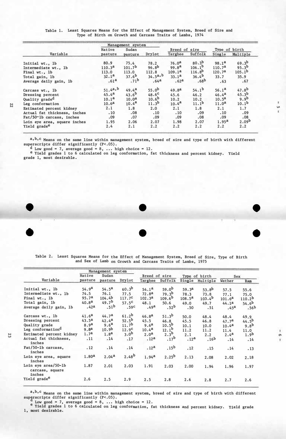|                              |                    | Management system  |                   |                    |                   |                    |                    |
|------------------------------|--------------------|--------------------|-------------------|--------------------|-------------------|--------------------|--------------------|
|                              | Native             | Sudan              |                   | Breed of sire      |                   | Type of birth      |                    |
| Variable                     | pasture            | pasture            | Drylot            | Targhee            | Suffolk           | Single             | Multiple           |
| Initial wt., 1b              | 80.9               | 75.4               | 78.2              | 76.0 <sup>a</sup>  | 80.3 <sup>b</sup> | 98.1 <sup>a</sup>  | 69.3 <sup>b</sup>  |
| Intermediate wt., 1b         | 110.3 <sup>a</sup> | 101.7 <sup>b</sup> | 96.8 <sup>b</sup> | 99.8 <sup>a</sup>  | $106.1^b$         | 110.7 <sup>a</sup> | $95.3^{b}$         |
| Final wt., 1b                | 113.0              | 113.0              | 112.8             | 109.1 <sup>a</sup> | $116.8^{b}$       | 120.7 <sup>a</sup> | 105.1 <sup>b</sup> |
| Total gain, 1b               | 32.1 <sup>a</sup>  | 37.6 <sup>b</sup>  | $34.5^{a,b}$      | 33.1 <sup>a</sup>  | 36.4 <sup>b</sup> | 33.7               | 35.9               |
| Average daily gain, lb       | .61 <sup>a</sup>   | .71 <sup>b</sup>   | .64 <sup>a</sup>  | .62 <sup>a</sup>   | .68 <sup>b</sup>  | .63                | .67                |
| Carcass wt., 1b              | 51.4a,b            | $49.4^{a}$         | 55.0 <sup>b</sup> | 49.8 <sup>a</sup>  | $54.1^{b}$        | 56.1 <sup>a</sup>  | 47.8 <sup>b</sup>  |
| Dressing percent             | $45.4^{a}$         | 43.6 <sup>b</sup>  | $48.6^{\circ}$    | 45.6               | 46.2              | $46.4^{a}$         | 45.3 <sup>b</sup>  |
| Quality grade <sup>d</sup>   | 10.1 <sup>a</sup>  | 10.0 <sup>a</sup>  | 10.6 <sup>b</sup> | 10.2               | 10.2              | 10.5 <sup>a</sup>  | 9.9 <sup>b</sup>   |
| Leg conformation             | 10.6 <sup>a</sup>  | $10.4^{a}$         | 11.3 <sup>b</sup> | $10.4^{a}$         | 11.1 <sup>b</sup> | 11.0 <sup>a</sup>  | 10.1 <sup>b</sup>  |
| Estimated percent kidney     | 2.1                | 1.8                | 2.0               | 2.1                | 1.8               | 2.1                | 1.7                |
| Actual fat thickness, inches | .10                | .08                | .10               | .10                | .09               | .10                | .09                |
| Fat/50-1b carcass, inches    | .09                | .07                | .09               | .09                | .08               | .09                | .08                |
| Loin eye area, square inches | 1.95               | 2.06               | 2.07              | 1.98               | 2.07              | 1.95 <sup>a</sup>  | 2.09 <sup>b</sup>  |
| Yield grade <sup>e</sup>     | 2.4                | 2.1                | 2.2               | 2.2                | 2.2               | 2.2                | 2.2                |

Table 1. Least Squares Means for the Effect of Management System, Breed of Sire and Type of Birth on Growth and Carcass Traits of Lambs, 1974

a, b, c Means on the same line within management system, breed of sire and type of birth with different superscripts differ significantly (P<.05).

<sup>d</sup> Low good = 7, average good = 8, ... high choice = 12.

e Yield grades 1 to 6 calculated on leg conformation, fat thickness and percent kidney. Yield grade 1, most desirable.

Table 2. Least Squares Means for the Effect of Management System, Breed of Sire, Type of Birth and Sex of Lamb on Growth and Carcass Traits of Lambs, 1975

| Variable<br>Initial wt., 1b<br>Intermediate wt., 1b<br>Final wt., 1b<br>Total gain, lb<br>Average daily gain, 1b<br>Carcass wt., 1b<br>Dressing percent<br>Quality grade<br>Leg conformation <sup>d</sup><br>Estimated percent kidney<br>Actual fat thickness,<br>inches<br>Fat/50-1b carcass,<br>inches | Management system |                    |                   |                    |                    |                    |                    |                    |                    |
|----------------------------------------------------------------------------------------------------------------------------------------------------------------------------------------------------------------------------------------------------------------------------------------------------------|-------------------|--------------------|-------------------|--------------------|--------------------|--------------------|--------------------|--------------------|--------------------|
|                                                                                                                                                                                                                                                                                                          | Native<br>Sudan   |                    | Breed of sire     |                    | Type of birth      |                    | <b>Sex</b>         |                    |                    |
|                                                                                                                                                                                                                                                                                                          | pasture           | pasture            | Drylot            | Targhee            | Suffolk            |                    | Single Multiple    | Wether             | Ram                |
|                                                                                                                                                                                                                                                                                                          | 54.9 <sup>a</sup> | $54.5^{\rm a}$     | 60.3 <sup>b</sup> | 54.1 <sup>a</sup>  | 59.0 <sup>b</sup>  | 59.3 <sup>a</sup>  | 53.8 <sup>b</sup>  | 57.5               | 55.6               |
|                                                                                                                                                                                                                                                                                                          | 74.5              | 76.1               | 77.5              | 72.8 <sup>a</sup>  | 79.3 <sup>b</sup>  | 78.3               | 73.8               | 77.1               | 75.0               |
|                                                                                                                                                                                                                                                                                                          | 95.7 <sup>a</sup> | 104.4 <sup>b</sup> | 117.7c            | 102.3 <sup>a</sup> | 109.6 <sup>b</sup> | $108.5^{\text{a}}$ | 103.4 <sup>b</sup> | 101.6 <sup>a</sup> | 110.2 <sup>b</sup> |
|                                                                                                                                                                                                                                                                                                          | 40.8 <sup>a</sup> | 49.7 <sup>b</sup>  | $57.5^{\circ}$    | 48.1               | 50.6               | 49.0               | 49.7               | 44.1a              | 54.6 <sup>b</sup>  |
|                                                                                                                                                                                                                                                                                                          | .42a              | .51 <sup>b</sup>   | .59 <sup>c</sup>  | .49 <sup>a</sup>   | .52 <sup>b</sup>   | .50                | .51                | .45 <sup>a</sup>   | .56 <sup>b</sup>   |
|                                                                                                                                                                                                                                                                                                          | 41.6 <sup>a</sup> | 44.7 <sup>a</sup>  | $61.2^b$          | 46.8 <sup>a</sup>  | $51.3^{b}$         | 50.0               | 48.4               | 48.4               | 49.9               |
|                                                                                                                                                                                                                                                                                                          | 43.5 <sup>a</sup> | $42.4^{a}$         | $52.5^{\rm b}$    | 45.5               | 46.8               | 45.5               | 46.8               | 47.7 <sup>a</sup>  | $44.5^{b}$         |
|                                                                                                                                                                                                                                                                                                          | 8.9 <sup>a</sup>  | 9.6 <sup>a</sup>   | 11.7 <sup>b</sup> | 9.6 <sup>a</sup>   | $10.5^{\rm b}$     | 10.1               | 10.0               | 10.4 <sup>a</sup>  | 9.8 <sup>b</sup>   |
|                                                                                                                                                                                                                                                                                                          | 9.8 <sup>a</sup>  | 10.9 <sup>b</sup>  | 12.9 <sup>c</sup> | $10.4^{a}$         | $12.1^b$           | 11.2               | 11.2               | 11.4               | 11.0               |
|                                                                                                                                                                                                                                                                                                          | 1.7 <sup>a</sup>  | 1.8 <sup>a</sup>   | 3.0 <sup>b</sup>  | 2.0 <sup>a</sup>   | $2.3^{\text{D}}$   | 2.1                | 2.2                | $2.4^{a}$          | 1.9 <sup>b</sup>   |
|                                                                                                                                                                                                                                                                                                          | .11               | .14                | .17               | .12 <sup>a</sup>   | .17 <sup>b</sup>   | .12 <sup>a</sup>   | .16 <sup>b</sup>   | .14                | .14                |
|                                                                                                                                                                                                                                                                                                          | .12               | .14                | .14               | .12 <sup>a</sup>   | .15 <sup>b</sup>   | .12                | .15                | .14                | .13                |
| Loin eye area, square<br>inches                                                                                                                                                                                                                                                                          | 1.80 <sup>a</sup> | 2.04 <sup>a</sup>  | $2.48^{b}$        | $1.94^{a}$         | $2.25^{b}$         | 2.13               | 2.08               | 2.02               | 2.18               |
| Loin eye area/50-1b<br>carcass, square                                                                                                                                                                                                                                                                   | 1.87              | 2.01               | 2.03              | 1.91               | 2.03               | 2.00               | 1.94               | 1.96               | 1.97               |
| inches                                                                                                                                                                                                                                                                                                   |                   |                    |                   |                    |                    |                    |                    |                    |                    |
| Yield grade <sup>e</sup>                                                                                                                                                                                                                                                                                 | 2.6               | 2.5                | 2.9               | 2.5                | 2.8                | 2.6                | 2.8                | 2.7                | 2.6                |

**ហ** ŧ

> 1  $\sigma$

> > $\mathbf{F}$

a, b, c Means on the same line within management system, breed of sire and type of birth with different superscripts differ significantly  $(P<.05)$ .

Low good = 7, average good = 8, ... high choice = 12.<br>e Yield grades 1 to 6 calculated on leg conformation, fat thickness and percent kidney. Yield grade 1, most desirable.